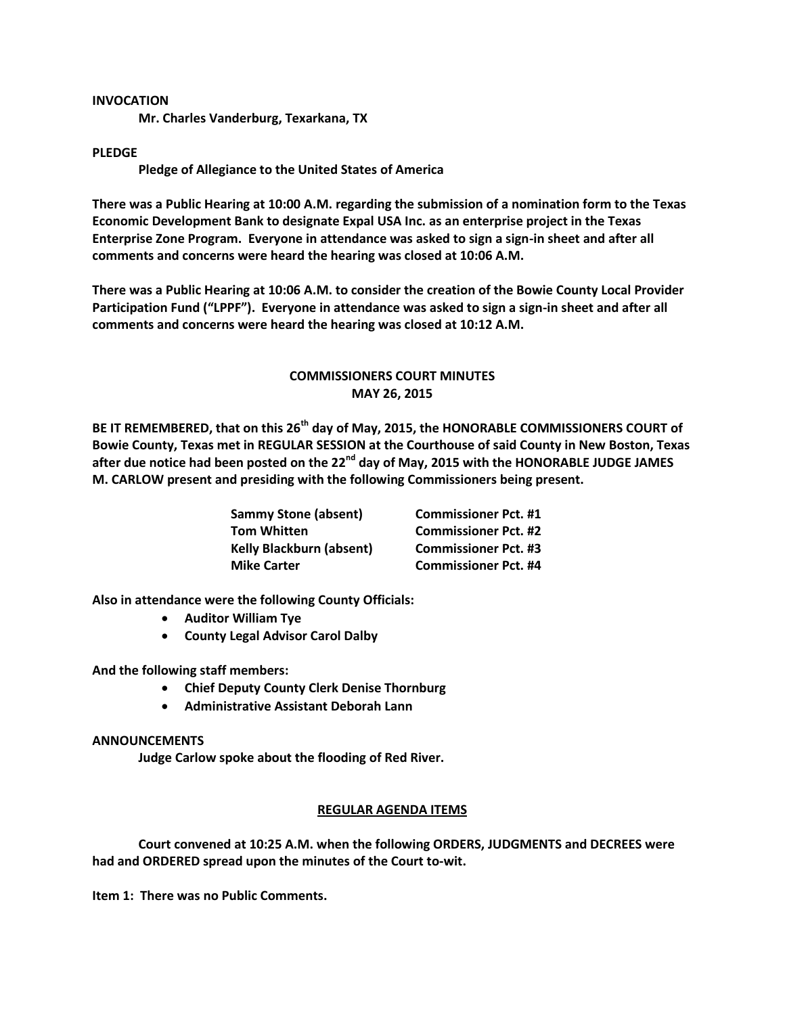## **INVOCATION**

**Mr. Charles Vanderburg, Texarkana, TX**

## **PLEDGE**

**Pledge of Allegiance to the United States of America**

**There was a Public Hearing at 10:00 A.M. regarding the submission of a nomination form to the Texas Economic Development Bank to designate Expal USA Inc. as an enterprise project in the Texas Enterprise Zone Program. Everyone in attendance was asked to sign a sign-in sheet and after all comments and concerns were heard the hearing was closed at 10:06 A.M.**

**There was a Public Hearing at 10:06 A.M. to consider the creation of the Bowie County Local Provider Participation Fund ("LPPF"). Everyone in attendance was asked to sign a sign-in sheet and after all comments and concerns were heard the hearing was closed at 10:12 A.M.**

# **COMMISSIONERS COURT MINUTES MAY 26, 2015**

**BE IT REMEMBERED, that on this 26th day of May, 2015, the HONORABLE COMMISSIONERS COURT of Bowie County, Texas met in REGULAR SESSION at the Courthouse of said County in New Boston, Texas after due notice had been posted on the 22nd day of May, 2015 with the HONORABLE JUDGE JAMES M. CARLOW present and presiding with the following Commissioners being present.**

| <b>Sammy Stone (absent)</b>     | <b>Commissioner Pct. #1</b> |
|---------------------------------|-----------------------------|
| <b>Tom Whitten</b>              | <b>Commissioner Pct. #2</b> |
| <b>Kelly Blackburn (absent)</b> | <b>Commissioner Pct. #3</b> |
| <b>Mike Carter</b>              | <b>Commissioner Pct. #4</b> |

**Also in attendance were the following County Officials:**

- **Auditor William Tye**
- **County Legal Advisor Carol Dalby**

**And the following staff members:**

- **Chief Deputy County Clerk Denise Thornburg**
- **Administrative Assistant Deborah Lann**

#### **ANNOUNCEMENTS**

**Judge Carlow spoke about the flooding of Red River.**

### **REGULAR AGENDA ITEMS**

**Court convened at 10:25 A.M. when the following ORDERS, JUDGMENTS and DECREES were had and ORDERED spread upon the minutes of the Court to-wit.**

**Item 1: There was no Public Comments.**